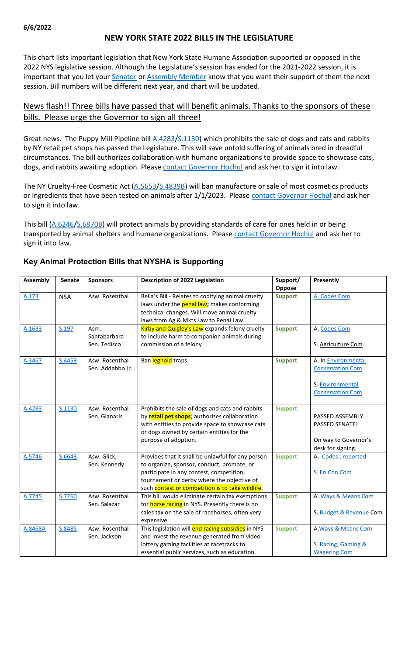## **NEW YORK STATE 2022 BILLS IN THE LEGISLATURE**

This chart lists important legislation that New York State Humane Association supported or opposed in the 2022 NYS legislative session. Although the Legislature's session has ended for the 2021-2022 session, it is important that you let your **[Senator](https://www.nysenate.gov/find-my-senator) or [Assembly Member](https://nyassembly.gov/mem/search/)** know that you want their support of them the next session. Bill numbers will be different next year, and chart will be updated.

## News flash!! Three bills have passed that will benefit animals. Thanks to the sponsors of these bills. Please urge the Governor to sign all three!

Great news. The Puppy Mill Pipeline bill [A.4283](https://nyassembly.gov/leg/?default_fld=%0D%0A&leg_video=&bn=a4283&term=2021&Summary=Y&Actions=Y&Committee%26nbspVotes=Y&Floor%26nbspVotes=Y&Memo=Y&Text=Y)[/S.1130\)](https://www.nysenate.gov/legislation/bills/2021/s1130) which prohibits the sale of dogs and cats and rabbits by NY retail pet shops has passed the Legislature. This will save untold suffering of animals bred in dreadful circumstances. The bill authorizes collaboration with humane organizations to provide space to showcase cats, dogs, and rabbits awaiting adoption. Pleas[e contact Governor Hochul](https://www.governor.ny.gov/content/governor-contact-form) and ask her to sign it into law.

The NY Cruelty-Free Cosmetic Act [\(A.5653/](https://nyassembly.gov/leg/?default_fld=&leg_video=&bn=A05653&term=2021&Summary=Y&Actions=Y&Committee%26nbspVotes=Y&Floor%26nbspVotes=Y&Memo=Y&Text=Y)[S.4839B\)](https://www.nysenate.gov/legislation/bills/2021/s4839/amendment/b) will ban manufacture or sale of most cosmetics products or ingredients that have been tested on animals after 1/1/2023. Please [contact Governor Hochul](https://www.governor.ny.gov/content/governor-contact-form) and ask her to sign it into law.

This bill [\(A.6246/](https://nyassembly.gov/leg/?default_fld=%0D%0A&leg_video=&bn=a6246&term=2021&Summary=Y&Actions=Y&Committee%26nbspVotes=Y&Floor%26nbspVotes=Y&Memo=Y&Text=Y)[S.6870B\)](https://www.nysenate.gov/legislation/bills/2021/s6870/amendment/b) will protect animals by providing standards of care for ones held in or being transported by animal shelters and humane organizations. Please [contact Governor Hochul](https://www.governor.ny.gov/content/governor-contact-form) and ask her to sign it into law.

| <b>Assembly</b> | <b>Senate</b> | <b>Sponsors</b>                      | Description of 2022 Legislation                                                                                                                                                                                                               | Support/<br>Oppose | Presently                                                                                            |
|-----------------|---------------|--------------------------------------|-----------------------------------------------------------------------------------------------------------------------------------------------------------------------------------------------------------------------------------------------|--------------------|------------------------------------------------------------------------------------------------------|
| A.173           | <b>NSA</b>    | Asw. Rosenthal                       | Bella's Bill - Relates to codifying animal cruelty<br>laws under the <b>penal law</b> ; makes conforming<br>technical changes. Will move animal cruelty<br>laws from Ag & Mkts Law to Penal Law.                                              | <b>Support</b>     | A. Codes Com                                                                                         |
| A.1633          | S.197         | Asm.<br>Santabarbara<br>Sen. Tedisco | Kirby and Quigley's Law expands felony cruelty<br>to include harm to companion animals during<br>commission of a felony                                                                                                                       | <b>Support</b>     | A. Codes Com<br>S. Agriculture Com.                                                                  |
| A.3467          | S.4459        | Asw. Rosenthal<br>Sen. Addabbo Jr.   | Ban leghold traps                                                                                                                                                                                                                             | <b>Support</b>     | A. In <b>Environmental</b><br><b>Conservation Com</b><br>S. Environmental<br><b>Conservation Com</b> |
| A.4283          | S.1130        | Asw. Rosenthal<br>Sen. Gianaris      | Prohibits the sale of dogs and cats and rabbits<br>by retail pet shops; authorizes collaboration<br>with entities to provide space to showcase cats<br>or dogs owned by certain entities for the<br>purpose of adoption.                      | <b>Support</b>     | PASSED ASSEMBLY<br>PASSED SENATE!<br>On way to Governor's<br>desk for signing.                       |
| A.5746          | S.6643        | Asw. Glick,<br>Sen. Kennedy          | Provides that it shall be unlawful for any person<br>to organize, sponsor, conduct, promote, or<br>participate in any contest, competition,<br>tournament or derby where the objective of<br>such contest or competition is to take wildlife. | <b>Support</b>     | A. Codes; reported<br>S. En Con Com                                                                  |
| A.7745          | S.7260        | Asw. Rosenthal<br>Sen. Salazar       | This bill would eliminate certain tax exemptions<br>for horse racing in NYS. Presently there is no<br>sales tax on the sale of racehorses, often very<br>expensive.                                                                           | <b>Support</b>     | A. Ways & Means Com<br>S. Budget & Revenue Com                                                       |
| A.8468A         | S.8485        | Asw. Rosenthal<br>Sen. Jackson       | This legislation will end racing subsidies in NYS<br>and invest the revenue generated from video<br>lottery gaming facilities at racetracks to<br>essential public services, such as education.                                               | <b>Support</b>     | A. Ways & Means Com<br>S. Racing, Gaming &<br><b>Wagering Com</b>                                    |

### **Key Animal Protection Bills that NYSHA is Supporting**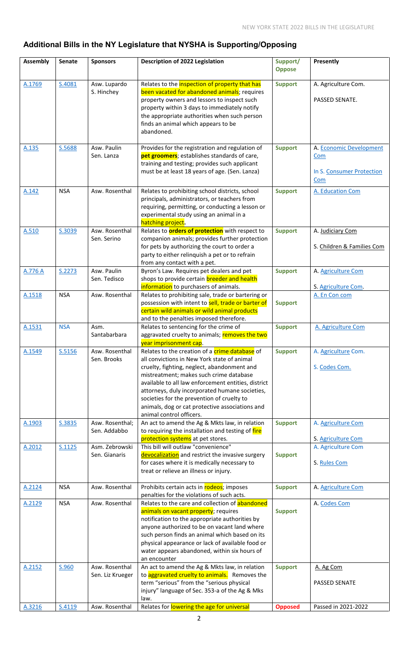# **Additional Bills in the NY Legislature that NYSHA is Supporting/Opposing**

| <b>Assembly</b> | <b>Senate</b> | <b>Sponsors</b>                    | Description of 2022 Legislation                                                                                                                                                                                                                                                                                                                                                                                               | Support/<br><b>Oppose</b> | Presently                                                          |
|-----------------|---------------|------------------------------------|-------------------------------------------------------------------------------------------------------------------------------------------------------------------------------------------------------------------------------------------------------------------------------------------------------------------------------------------------------------------------------------------------------------------------------|---------------------------|--------------------------------------------------------------------|
| A.1769          | S.4081        | Asw. Lupardo<br>S. Hinchey         | Relates to the inspection of property that has<br>been vacated for abandoned animals; requires<br>property owners and lessors to inspect such<br>property within 3 days to immediately notify<br>the appropriate authorities when such person<br>finds an animal which appears to be<br>abandoned.                                                                                                                            | <b>Support</b>            | A. Agriculture Com.<br>PASSED SENATE.                              |
| A.135           | S.5688        | Asw. Paulin<br>Sen. Lanza          | Provides for the registration and regulation of<br>pet groomers; establishes standards of care,<br>training and testing; provides such applicant<br>must be at least 18 years of age. (Sen. Lanza)                                                                                                                                                                                                                            | <b>Support</b>            | A. Economic Development<br>Com<br>In S. Consumer Protection<br>Com |
| A.142           | <b>NSA</b>    | Asw. Rosenthal                     | Relates to prohibiting school districts, school<br>principals, administrators, or teachers from<br>requiring, permitting, or conducting a lesson or<br>experimental study using an animal in a<br>hatching project.                                                                                                                                                                                                           | <b>Support</b>            | A. Education Com                                                   |
| A.510           | S.3039        | Asw. Rosenthal<br>Sen. Serino      | Relates to <b>orders of protection</b> with respect to<br>companion animals; provides further protection<br>for pets by authorizing the court to order a<br>party to either relinquish a pet or to refrain<br>from any contact with a pet.                                                                                                                                                                                    | <b>Support</b>            | A. Judiciary Com<br>S. Children & Families Com                     |
| A.776 A         | S.2273        | Asw. Paulin<br>Sen. Tedisco        | Byron's Law. Requires pet dealers and pet<br>shops to provide certain breeder and health<br>information to purchasers of animals.                                                                                                                                                                                                                                                                                             | <b>Support</b>            | A. Agriculture Com<br>S. Agriculture Com.                          |
| A.1518          | <b>NSA</b>    | Asw. Rosenthal                     | Relates to prohibiting sale, trade or bartering or<br>possession with intent to sell, trade or barter of<br>certain wild animals or wild animal products<br>and to the penalties imposed therefore.                                                                                                                                                                                                                           | <b>Support</b>            | A. En Con com                                                      |
| A.1531          | <b>NSA</b>    | Asm.<br>Santabarbara               | Relates to sentencing for the crime of<br>aggravated cruelty to animals; removes the two<br>year imprisonment cap.                                                                                                                                                                                                                                                                                                            | <b>Support</b>            | A. Agriculture Com                                                 |
| A.1549          | S.5156        | Asw. Rosenthal<br>Sen. Brooks      | Relates to the creation of a crime database of<br>all convictions in New York state of animal<br>cruelty, fighting, neglect, abandonment and<br>mistreatment; makes such crime database<br>available to all law enforcement entities, district<br>attorneys, duly incorporated humane societies,<br>societies for the prevention of cruelty to<br>animals, dog or cat protective associations and<br>animal control officers. | <b>Support</b>            | A. Agriculture Com.<br>S. Codes Com.                               |
| A.1903          | S.3835        | Asw. Rosenthal;<br>Sen. Addabbo    | An act to amend the Ag & Mkts law, in relation<br>to requiring the installation and testing of fire<br>protection systems at pet stores.                                                                                                                                                                                                                                                                                      | <b>Support</b>            | A. Agriculture Com<br>S. Agriculture Com                           |
| A.2012          | S.1125        | Asm. Zebrowski<br>Sen. Gianaris    | This bill will outlaw "convenience"<br>devocalization and restrict the invasive surgery<br>for cases where it is medically necessary to<br>treat or relieve an illness or injury.                                                                                                                                                                                                                                             | <b>Support</b>            | A. Agriculture Com<br>S. Rules Com                                 |
| A.2124          | <b>NSA</b>    | Asw. Rosenthal                     | Prohibits certain acts in rodeos; imposes<br>penalties for the violations of such acts.                                                                                                                                                                                                                                                                                                                                       | <b>Support</b>            | A. Agriculture Com                                                 |
| A.2129          | <b>NSA</b>    | Asw. Rosenthal                     | Relates to the care and collection of abandoned<br>animals on vacant property; requires<br>notification to the appropriate authorities by<br>anyone authorized to be on vacant land where<br>such person finds an animal which based on its<br>physical appearance or lack of available food or<br>water appears abandoned, within six hours of<br>an encounter                                                               | <b>Support</b>            | A. Codes Com                                                       |
| A.2152          | S.960         | Asw. Rosenthal<br>Sen. Liz Krueger | An act to amend the Ag & Mkts law, in relation<br>to aggravated cruelty to animals. Removes the<br>term "serious" from the "serious physical<br>injury" language of Sec. 353-a of the Ag & Mks<br>law.                                                                                                                                                                                                                        | <b>Support</b>            | A. Ag Com<br><b>PASSED SENATE</b>                                  |
| A.3216          | S.4119        | Asw. Rosenthal                     | Relates for lowering the age for universal                                                                                                                                                                                                                                                                                                                                                                                    | <b>Opposed</b>            | Passed in 2021-2022                                                |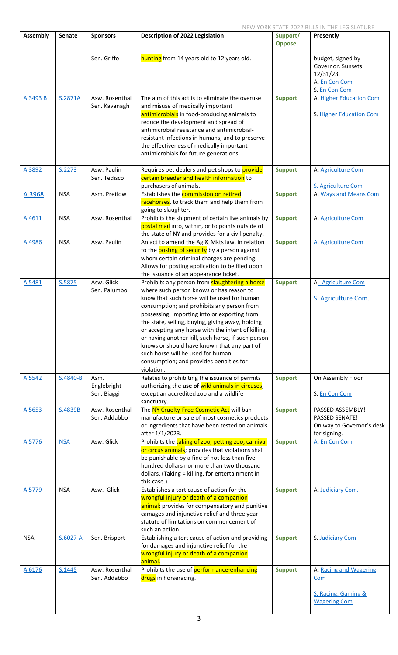| <b>Assembly</b> | <b>Senate</b> | <b>Sponsors</b>                    | <b>Description of 2022 Legislation</b>                                                                                                                                                                                                                                                                                                                                                                                                                                                                                                                      | Support/       | Presently                                                                              |
|-----------------|---------------|------------------------------------|-------------------------------------------------------------------------------------------------------------------------------------------------------------------------------------------------------------------------------------------------------------------------------------------------------------------------------------------------------------------------------------------------------------------------------------------------------------------------------------------------------------------------------------------------------------|----------------|----------------------------------------------------------------------------------------|
|                 |               |                                    |                                                                                                                                                                                                                                                                                                                                                                                                                                                                                                                                                             | <b>Oppose</b>  |                                                                                        |
|                 |               | Sen. Griffo                        | hunting from 14 years old to 12 years old.                                                                                                                                                                                                                                                                                                                                                                                                                                                                                                                  |                | budget, signed by<br>Governor. Sunsets<br>12/31/23.<br>A. En Con Com<br>S. En Con Com  |
| A.3493 B        | S.2871A       | Asw. Rosenthal<br>Sen. Kavanagh    | The aim of this act is to eliminate the overuse<br>and misuse of medically important<br>antimicrobials in food-producing animals to<br>reduce the development and spread of<br>antimicrobial resistance and antimicrobial-<br>resistant infections in humans, and to preserve<br>the effectiveness of medically important<br>antimicrobials for future generations.                                                                                                                                                                                         | <b>Support</b> | A. Higher Education Com<br>S. Higher Education Com                                     |
| A.3892          | S.2273        | Asw. Paulin<br>Sen. Tedisco        | Requires pet dealers and pet shops to provide<br>certain breeder and health information to<br>purchasers of animals.                                                                                                                                                                                                                                                                                                                                                                                                                                        | <b>Support</b> | A. Agriculture Com<br>S. Agriculture Com                                               |
| A.3968          | <b>NSA</b>    | Asm. Pretlow                       | Establishes the commission on retired<br>racehorses, to track them and help them from<br>going to slaughter.                                                                                                                                                                                                                                                                                                                                                                                                                                                | <b>Support</b> | A. Ways and Means Com                                                                  |
| A.4611          | <b>NSA</b>    | Asw. Rosenthal                     | Prohibits the shipment of certain live animals by<br>postal mail into, within, or to points outside of<br>the state of NY and provides for a civil penalty.                                                                                                                                                                                                                                                                                                                                                                                                 | <b>Support</b> | A. Agriculture Com                                                                     |
| A.4986          | <b>NSA</b>    | Asw. Paulin                        | An act to amend the Ag & Mkts law, in relation<br>to the <b>posting of security</b> by a person against<br>whom certain criminal charges are pending.<br>Allows for posting application to be filed upon<br>the issuance of an appearance ticket.                                                                                                                                                                                                                                                                                                           | <b>Support</b> | A. Agriculture Com                                                                     |
| A.5481          | S.5875        | Asw. Glick<br>Sen. Palumbo         | Prohibits any person from <b>slaughtering a horse</b><br>where such person knows or has reason to<br>know that such horse will be used for human<br>consumption; and prohibits any person from<br>possessing, importing into or exporting from<br>the state, selling, buying, giving away, holding<br>or accepting any horse with the intent of killing,<br>or having another kill, such horse, if such person<br>knows or should have known that any part of<br>such horse will be used for human<br>consumption; and provides penalties for<br>violation. | <b>Support</b> | A. Agriculture Com<br>S. Agriculture Com.                                              |
| A.5542          | S.4840-B      | Asm.<br>Englebright<br>Sen. Biaggi | Relates to prohibiting the issuance of permits<br>authorizing the use of wild animals in circuses;<br>except an accredited zoo and a wildlife<br>sanctuary.                                                                                                                                                                                                                                                                                                                                                                                                 | <b>Support</b> | On Assembly Floor<br>S. En Con Com                                                     |
| A.5653          | S.4839B       | Asw. Rosenthal<br>Sen. Addabbo     | The NY Cruelty-Free Cosmetic Act will ban<br>manufacture or sale of most cosmetics products<br>or ingredients that have been tested on animals<br>after 1/1/2023.                                                                                                                                                                                                                                                                                                                                                                                           | <b>Support</b> | PASSED ASSEMBLY!<br><b>PASSED SENATE!</b><br>On way to Governor's desk<br>for signing. |
| A.5776          | <b>NSA</b>    | Asw. Glick                         | Prohibits the taking of zoo, petting zoo, carnival<br>or circus animals; provides that violations shall<br>be punishable by a fine of not less than five<br>hundred dollars nor more than two thousand<br>dollars. (Taking = killing, for entertainment in<br>this case.)                                                                                                                                                                                                                                                                                   | <b>Support</b> | A. En Con Com                                                                          |
| A.5779          | <b>NSA</b>    | Asw. Glick                         | Establishes a tort cause of action for the<br>wrongful injury or death of a companion<br>animal; provides for compensatory and punitive<br>camages and injunctive relief and three year<br>statute of limitations on commencement of<br>such an action.                                                                                                                                                                                                                                                                                                     | <b>Support</b> | A. Judiciary Com.                                                                      |
| <b>NSA</b>      | $S.6027 - A$  | Sen. Brisport                      | Establishing a tort cause of action and providing<br>for damages and injunctive relief for the<br>wrongful injury or death of a companion<br>animal.                                                                                                                                                                                                                                                                                                                                                                                                        | <b>Support</b> | S. Judiciary Com                                                                       |
| A.6176          | S.1445        | Asw. Rosenthal<br>Sen. Addabbo     | Prohibits the use of performance-enhancing<br>drugs in horseracing.                                                                                                                                                                                                                                                                                                                                                                                                                                                                                         | <b>Support</b> | A. Racing and Wagering<br>Com                                                          |
|                 |               |                                    |                                                                                                                                                                                                                                                                                                                                                                                                                                                                                                                                                             |                | S. Racing, Gaming &<br><b>Wagering Com</b>                                             |

 $\mathsf{l}$